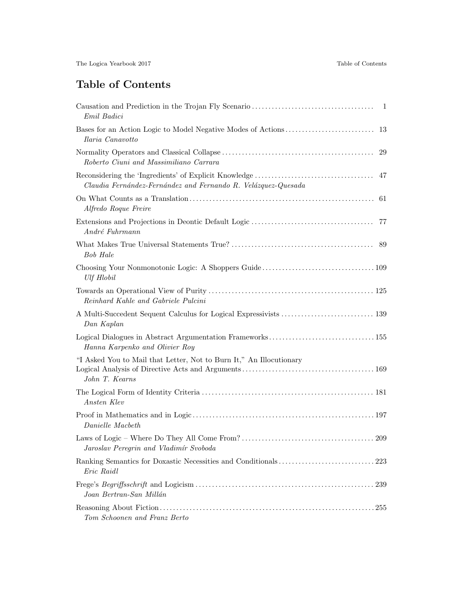## Table of Contents

| Emil Badici                                                                           |
|---------------------------------------------------------------------------------------|
| Ilaria Canavotto                                                                      |
| 29<br>Roberto Ciuni and Massimiliano Carrara                                          |
| 47<br>Claudia Fernández-Fernández and Fernando R. Velázquez-Quesada                   |
| Alfredo Roque Freire                                                                  |
| André Fuhrmann                                                                        |
| <b>Bob Hale</b>                                                                       |
| <b>Ulf Hlobil</b>                                                                     |
| Reinhard Kahle and Gabriele Pulcini                                                   |
| Dan Kaplan                                                                            |
| Hanna Karpenko and Olivier Roy                                                        |
| "I Asked You to Mail that Letter, Not to Burn It," An Illocutionary<br>John T. Kearns |
| Ansten Klev                                                                           |
| Danielle Macbeth                                                                      |
| Jaroslav Peregrin and Vladimír Svoboda                                                |
| Eric Raidl                                                                            |
| Joan Bertran-San Millán                                                               |
| Tom Schoonen and Franz Berto                                                          |